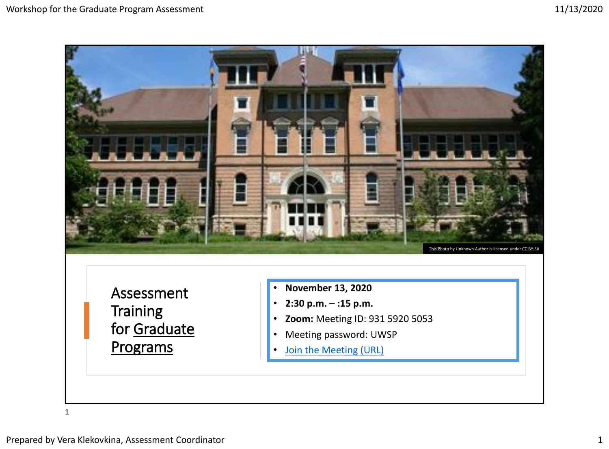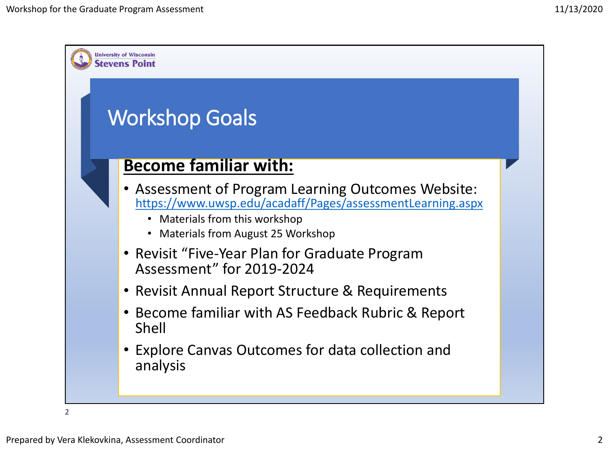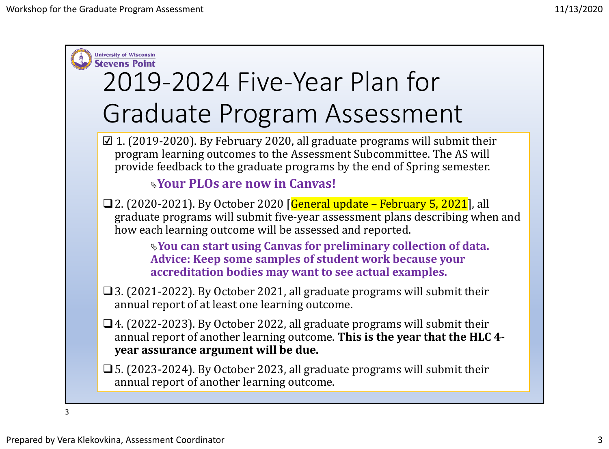

3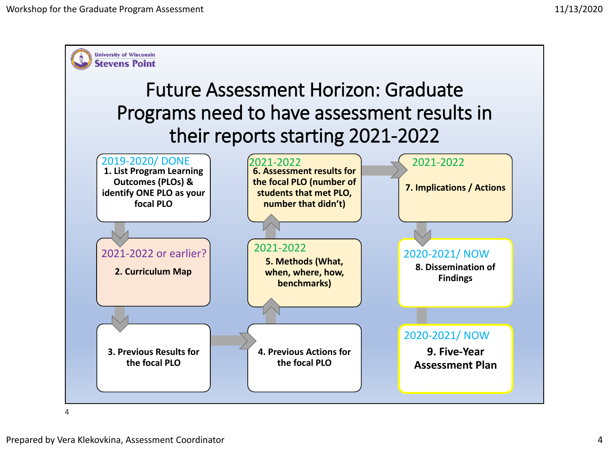

 $\Delta$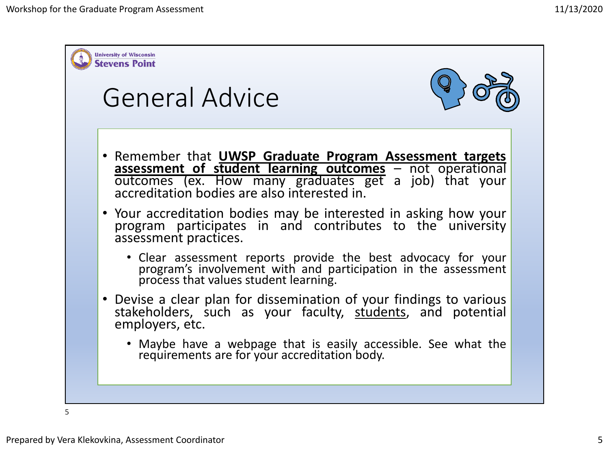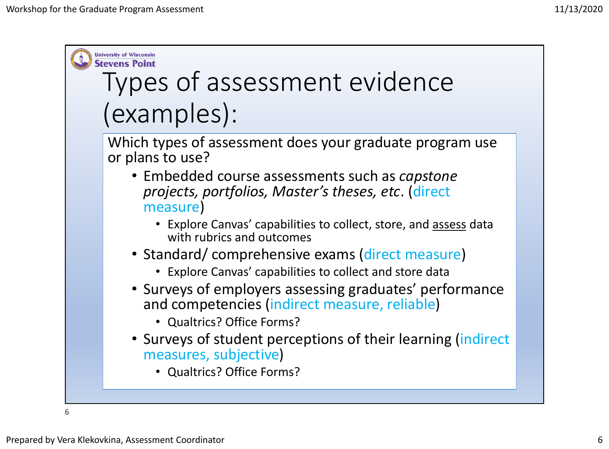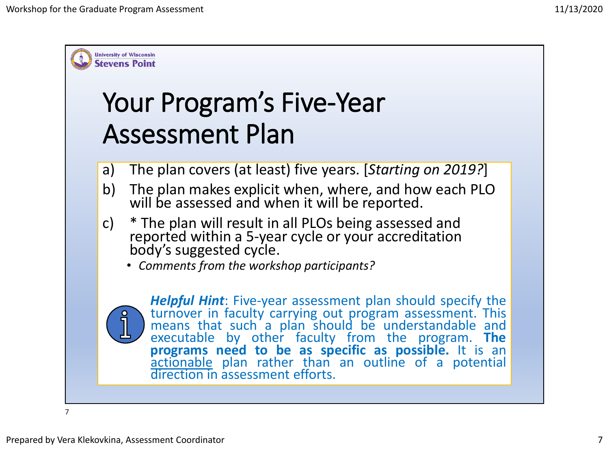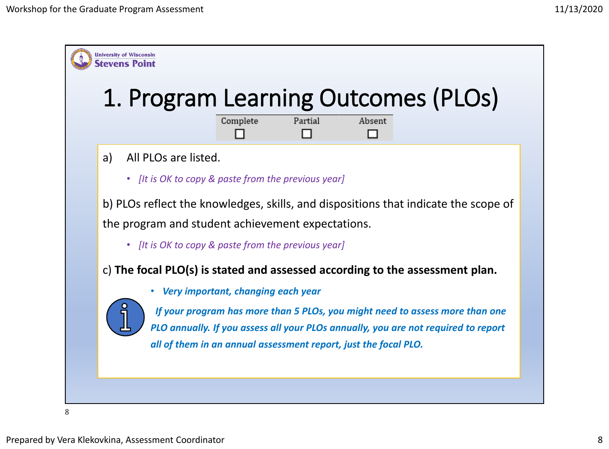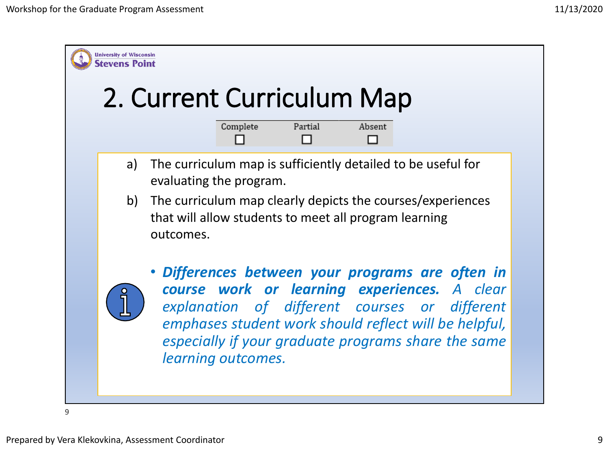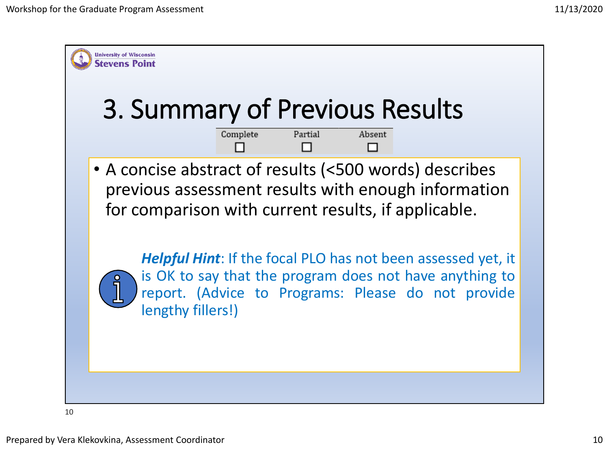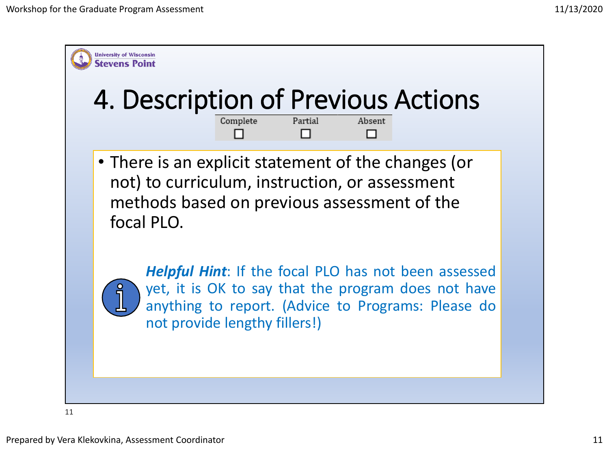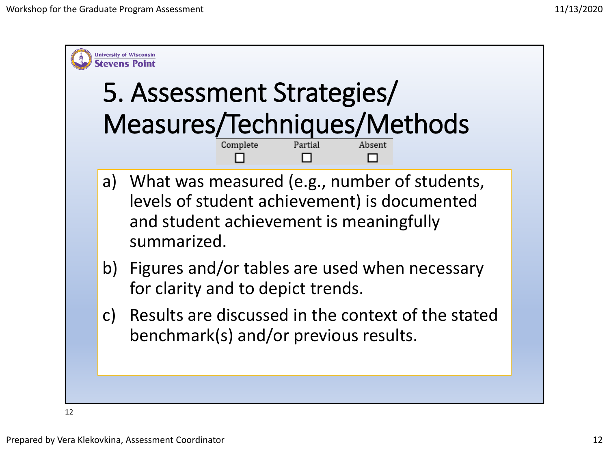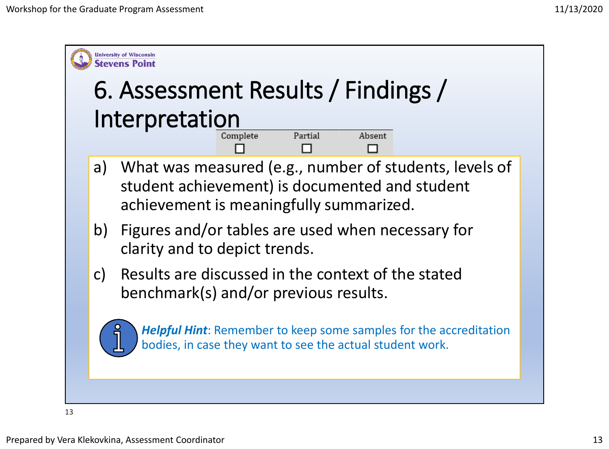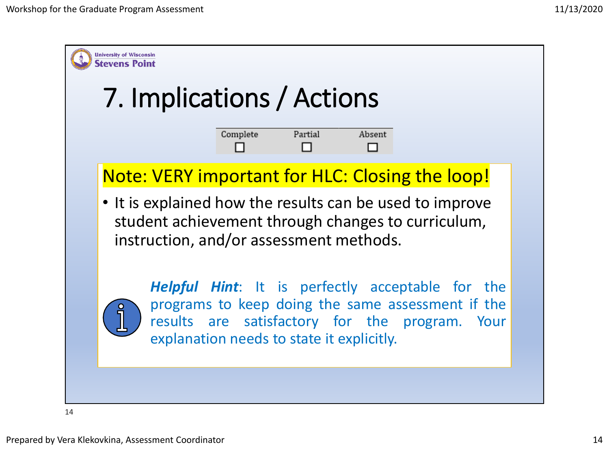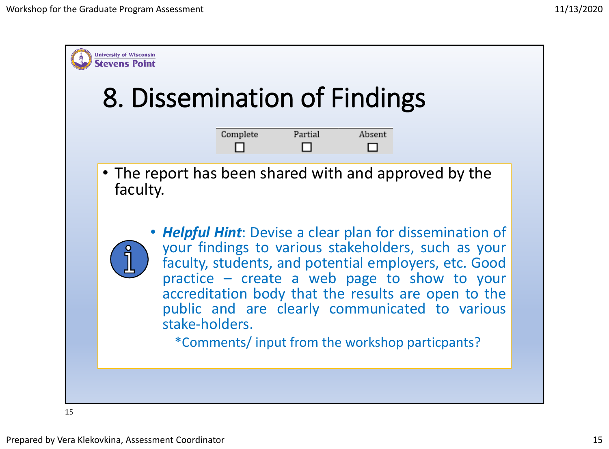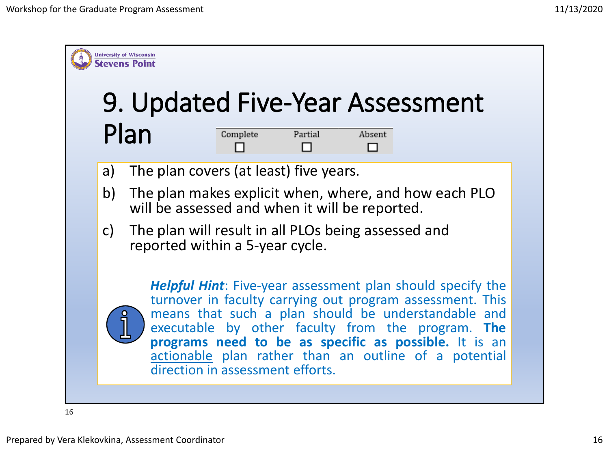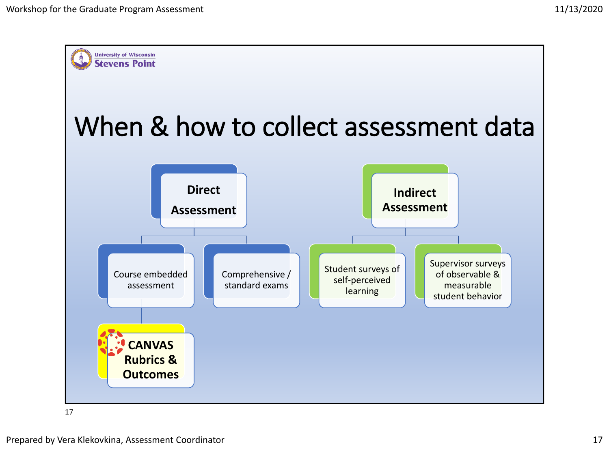

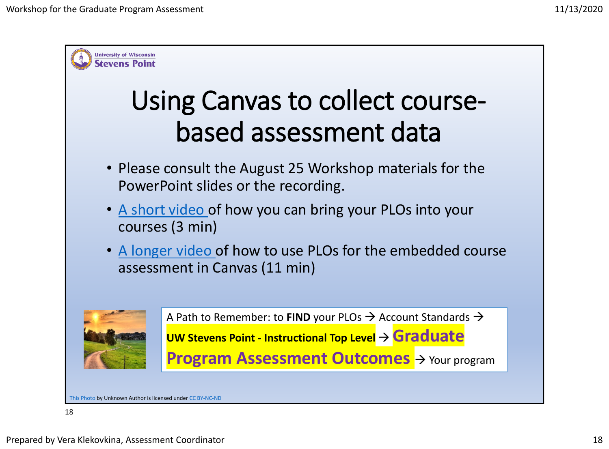